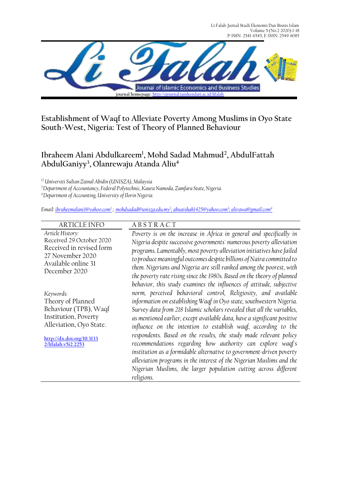Li Falah-Jurnal Studi Ekonomi Dan Bisnis Islam Volume 5 (No.2 2020) 1-18 P-ISSN: 2541-6545, E-ISSN: 2549-6085



**Establishment of Waqf to Alleviate Poverty Among Muslims in Oyo State South-West, Nigeria: Test of Theory of Planned Behaviour**

# **Ibraheem Alani Abdulkareem<sup>1</sup> , Mohd Sadad Mahmud<sup>2</sup> , AbdulFattah AbdulGaniyy<sup>3</sup> , Olanrewaju Atanda Aliu<sup>4</sup>**

*<sup>12</sup> Universiti Sultan Zainal Abidin (UNISZA), Malaysia*

*<sup>3</sup>Department of Accountancy, Federal Polytechnic, Kaura Namoda, Zamfara State, Nigeria.*

*<sup>4</sup>Department of Accounting, University of Ilorin Nigeria.*

*Email[: ibraheemalani1@yahoo.com](mailto:ibraheemalani1@yahoo.com)<sup>1</sup> ; [mohdsadad@unisza.edu.my](mailto:mohdsadad@unisza.edu.my2)<sup>2</sup> [; abuaishah1425@yahoo.com](mailto:abuaishah1425@yahoo.com)<sup>3</sup> ; alirawa@gmail.com<sup>4</sup>*

| <b>ARTICLE INFO</b>                  | <b>ABSTRACT</b>                                                          |
|--------------------------------------|--------------------------------------------------------------------------|
| Article History:                     | Poverty is on the increase in Africa in general and specifically in      |
| Received 29 October 2020             | Nigeria despite successive governments' numerous poverty alleviation     |
| Received in revised form             | programs. Lamentably, most poverty alleviation initiatives have failed   |
| 27 November 2020                     | to produce meaningful outcomes despite billions of Naira committed to    |
| Available online 31<br>December 2020 | them. Nigerians and Nigeria are still ranked among the poorest, with     |
|                                      | the poverty rate rising since the 1980s. Based on the theory of planned  |
|                                      | behavior, this study examines the influences of attitude, subjective     |
| Keywords:                            | norm, perceived behavioral control, Religiosity, and available           |
| Theory of Planned                    | information on establishing Waqf in Oyo state, southwestern Nigeria.     |
| Behaviour (TPB), Waqf                | Survey data from 218 Islamic scholars revealed that all the variables,   |
| Institution, Poverty                 | as mentioned earlier, except available data, have a significant positive |
| Alleviation, Oyo State.              | influence on the intention to establish waqf, according to the           |
| http://dx.doi.org/10.3133            | respondents. Based on the results, the study made relevant policy        |
| 2/lifalah.v5i2.2253                  | recommendations regarding how authority can explore waqf's               |
|                                      | institution as a formidable alternative to government-driven poverty     |
|                                      | alleviation programs in the interest of the Nigerian Muslims and the     |
|                                      | Nigerian Muslims, the larger population cutting across different         |
|                                      | religions.                                                               |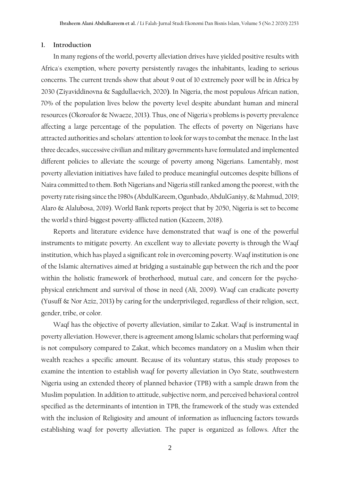#### **1. Introduction**

In many regions of the world, poverty alleviation drives have yielded positive results with Africa's exemption, where poverty persistently ravages the inhabitants, leading to serious concerns. The current trends show that about 9 out of 10 extremely poor will be in Africa by 2030 (Ziyaviddinovna & Sagdullaevich, 2020**)**. In Nigeria, the most populous African nation, 70% of the population lives below the poverty level despite abundant human and mineral resources (Okoroafor & Nwaeze, 2013). Thus, one of Nigeria's problems is poverty prevalence affecting a large percentage of the population. The effects of poverty on Nigerians have attracted authorities and scholars' attention to look for ways to combat the menace. In the last three decades, successive civilian and military governments have formulated and implemented different policies to alleviate the scourge of poverty among Nigerians. Lamentably, most poverty alleviation initiatives have failed to produce meaningful outcomes despite billions of Naira committed to them. Both Nigerians and Nigeria still ranked among the poorest, with the poverty rate rising since the 1980s (AbdulKareem, Ogunbado, AbdulGaniyy, & Mahmud, 2019; Alaro & Alalubosa, 2019). World Bank reports project that by 2050, Nigeria is set to become the world's third-biggest poverty-afflicted nation (Kazeem, 2018).

Reports and literature evidence have demonstrated that waqf is one of the powerful instruments to mitigate poverty. An excellent way to alleviate poverty is through the Waqf institution, which has played a significant role in overcoming poverty. Waqf institution is one of the Islamic alternatives aimed at bridging a sustainable gap between the rich and the poor within the holistic framework of brotherhood, mutual care, and concern for the psychophysical enrichment and survival of those in need (Ali, 2009). Waqf can eradicate poverty (Yusuff & Nor Aziz, 2013) by caring for the underprivileged, regardless of their religion, sect, gender, tribe, or color.

Waqf has the objective of poverty alleviation, similar to Zakat. Waqf is instrumental in poverty alleviation. However, there is agreement among Islamic scholars that performing waqf is not compulsory compared to Zakat, which becomes mandatory on a Muslim when their wealth reaches a specific amount. Because of its voluntary status, this study proposes to examine the intention to establish waqf for poverty alleviation in Oyo State, southwestern Nigeria using an extended theory of planned behavior (TPB) with a sample drawn from the Muslim population. In addition to attitude, subjective norm, and perceived behavioral control specified as the determinants of intention in TPB, the framework of the study was extended with the inclusion of Religiosity and amount of information as influencing factors towards establishing waqf for poverty alleviation. The paper is organized as follows. After the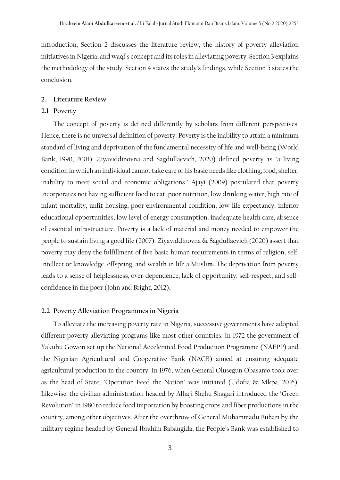introduction, Section 2 discusses the literature review, the history of poverty alleviation initiatives in Nigeria, and waqf's concept and its roles in alleviating poverty. Section 3 explains the methodology of the study. Section 4 states the study's findings, while Section 5 states the conclusion.

# **2. Literature Review**

# **2.1 Poverty**

The concept of poverty is defined differently by scholars from different perspectives. Hence, there is no universal definition of poverty. Poverty is the inability to attain a minimum standard of living and deprivation of the fundamental necessity of life and well-being (World Bank, 1990, 2001). Ziyaviddinovna and Sagdullaevich, 2020**)** defined poverty as "a living condition in which an individual cannot take care of his basic needs like clothing, food, shelter, inability to meet social and economic obligations." Ajayi (2009) postulated that poverty incorporates not having sufficient food to eat, poor nutrition, low drinking water, high rate of infant mortality, unfit housing, poor environmental condition, low life expectancy, inferior educational opportunities, low level of energy consumption, inadequate health care, absence of essential infrastructure. Poverty is a lack of material and money needed to empower the people to sustain living a good life (2007). Ziyaviddinovna & Sagdullaevich (2020) assert that poverty may deny the fulfillment of five basic human requirements in terms of religion, self, intellect or knowledge, offspring, and wealth in life a Musli**m.** The deprivation from poverty leads to a sense of helplessness, over-dependence, lack of opportunity, self-respect, and selfconfidence in the poor (John and Bright, 2012).

# **2.2 Poverty Alleviation Programmes in Nigeria**

To alleviate the increasing poverty rate in Nigeria, successive governments have adopted different poverty alleviating programs like most other countries. In 1972 the government of Yakubu Gowon set up the National Accelerated Food Production Programme (NAFPP) and the Nigerian Agricultural and Cooperative Bank (NACB) aimed at ensuring adequate agricultural production in the country. In 1976, when General Olusegun Obasanjo took over as the head of State, "Operation Feed the Nation" was initiated (Udofia & Mkpa, 2016). Likewise, the civilian administration headed by Alhaji Shehu Shagari introduced the "Green Revolution" in 1980 to reduce food importation by boosting crops and fiber productions in the country, among other objectives. After the overthrow of General Muhammadu Buhari by the military regime headed by General Ibrahim Babangida, the People's Bank was established to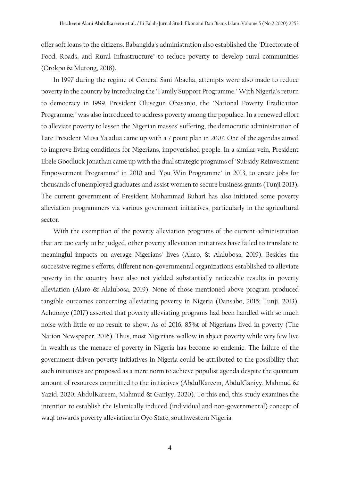offer soft loans to the citizens. Babangida's administration also established the "Directorate of Food, Roads, and Rural Infrastructure" to reduce poverty to develop rural communities (Orokpo & Mutong, 2018).

In 1997 during the regime of General Sani Abacha, attempts were also made to reduce poverty in the country by introducing the "Family Support Programme."With Nigeria's return to democracy in 1999, President Olusegun Obasanjo, the "National Poverty Eradication Programme," was also introduced to address poverty among the populace. In a renewed effort to alleviate poverty to lessen the Nigerian masses' suffering, the democratic administration of Late President Musa Ya'adua came up with a 7 point plan in 2007. One of the agendas aimed to improve living conditions for Nigerians, impoverished people. In a similar vein, President Ebele Goodluck Jonathan came up with the dual strategic programs of "Subsidy Reinvestment Empowerment Programme" in 2010 and "You Win Programme" in 2013, to create jobs for thousands of unemployed graduates and assist women to secure business grants (Tunji 2013). The current government of President Muhammad Buhari has also initiated some poverty alleviation programmers via various government initiatives, particularly in the agricultural sector.

With the exemption of the poverty alleviation programs of the current administration that are too early to be judged, other poverty alleviation initiatives have failed to translate to meaningful impacts on average Nigerians' lives (Alaro, & Alalubosa, 2019). Besides the successive regime's efforts, different non-governmental organizations established to alleviate poverty in the country have also not yielded substantially noticeable results in poverty alleviation (Alaro & Alalubosa, 2019). None of those mentioned above program produced tangible outcomes concerning alleviating poverty in Nigeria (Dansabo, 2015; Tunji, 2013). Achuonye (2017) asserted that poverty alleviating programs had been handled with so much noise with little or no result to show. As of 2016, 85%t of Nigerians lived in poverty (The Nation Newspaper, 2016). Thus, most Nigerians wallow in abject poverty while very few live in wealth as the menace of poverty in Nigeria has become so endemic. The failure of the government-driven poverty initiatives in Nigeria could be attributed to the possibility that such initiatives are proposed as a mere norm to achieve populist agenda despite the quantum amount of resources committed to the initiatives (AbdulKareem, AbdulGaniyy, Mahmud & Yazid, 2020; AbdulKareem, Mahmud & Ganiyy, 2020). To this end, this study examines the intention to establish the Islamically induced (individual and non-governmental) concept of waqf towards poverty alleviation in Oyo State, southwestern Nigeria.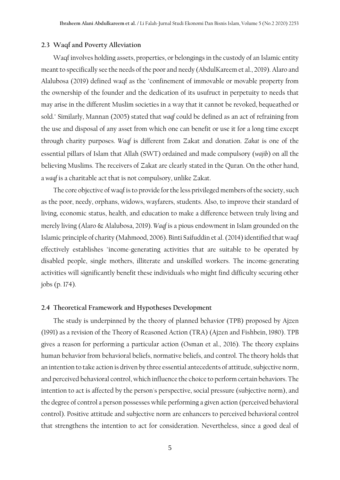## **2.3 Waqf and Poverty Alleviation**

Waqf involves holding assets, properties, or belongings in the custody of an Islamic entity meant to specifically see the needs of the poor and needy (AbdulKareem et al., 2019). Alaro and Alalubosa (2019) defined waqf as the "confinement of immovable or movable property from the ownership of the founder and the dedication of its usufruct in perpetuity to needs that may arise in the different Muslim societies in a way that it cannot be revoked, bequeathed or sold." Similarly, Mannan (2005) stated that *waqf* could be defined as an act of refraining from the use and disposal of any asset from which one can benefit or use it for a long time except through charity purposes. *Waqf* is different from Zakat and donation. *Zakat* is one of the essential pillars of Islam that Allah (SWT) ordained and made compulsory (*wajib*) on all the believing Muslims. The receivers of Zakat are clearly stated in the Quran. On the other hand, a *waqf* is a charitable act that is not compulsory, unlike Zakat.

The core objective of waqf is to provide for the less privileged members of the society, such as the poor, needy, orphans, widows, wayfarers, students. Also, to improve their standard of living, economic status, health, and education to make a difference between truly living and merely living (Alaro & Alalubosa, 2019). *Waqf* is a pious endowment in Islam grounded on the Islamic principle of charity (Mahmood, 2006). Binti Saifuddin et al.(2014) identified that waqf effectively establishes "income-generating activities that are suitable to be operated by disabled people, single mothers, illiterate and unskilled workers. The income-generating activities will significantly benefit these individuals who might find difficulty securing other jobs (p. 174).

## **2.4 Theoretical Framework and Hypotheses Development**

The study is underpinned by the theory of planned behavior (TPB) proposed by Ajzen (1991) as a revision of the Theory of Reasoned Action (TRA) (Ajzen and Fishbein, 1980). TPB gives a reason for performing a particular action (Osman et al., 2016). The theory explains human behavior from behavioral beliefs, normative beliefs, and control. The theory holds that an intention to take action is driven by three essential antecedents of attitude, subjective norm, and perceived behavioral control, which influence the choice to perform certain behaviors. The intention to act is affected by the person's perspective, social pressure (subjective norm), and the degree of control a person possesses while performing a given action (perceived behavioral control). Positive attitude and subjective norm are enhancers to perceived behavioral control that strengthens the intention to act for consideration. Nevertheless, since a good deal of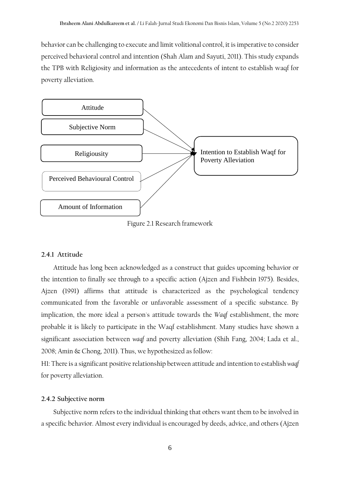behavior can be challenging to execute and limit volitional control, it is imperative to consider perceived behavioral control and intention (Shah Alam and Sayuti, 2011). This study expands the TPB with Religiosity and information as the antecedents of intent to establish waqf for poverty alleviation.



Figure 2.1 Research framework

# **2.4.1 Attitude**

Attitude has long been acknowledged as a construct that guides upcoming behavior or the intention to finally see through to a specific action (Ajzen and Fishbein 1975). Besides, Ajzen (1991) affirms that attitude is characterized as the psychological tendency communicated from the favorable or unfavorable assessment of a specific substance. By implication, the more ideal a person's attitude towards the *Waqf* establishment, the more probable it is likely to participate in the Waqf establishment. Many studies have shown a significant association between *waqf* and poverty alleviation (Shih Fang, 2004; Lada et al., 2008; Amin & Chong, 2011). Thus, we hypothesized as follow:

H1: There is a significant positive relationship between attitude and intention to establish *waqf* for poverty alleviation.

# **2.4.2 Subjective norm**

Subjective norm refers to the individual thinking that others want them to be involved in a specific behavior. Almost every individual is encouraged by deeds, advice, and others (Ajzen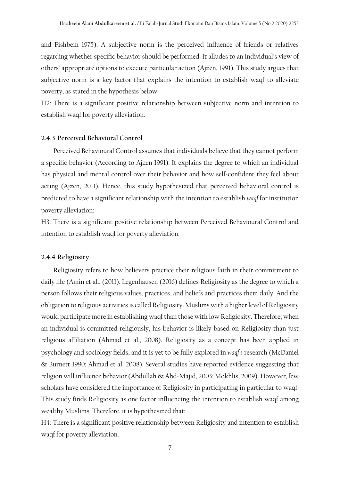and Fishbein 1975). A subjective norm is the perceived influence of friends or relatives regarding whether specific behavior should be performed. It alludes to an individual's view of others' appropriate options to execute particular action (Ajzen, 1991). This study argues that subjective norm is a key factor that explains the intention to establish waqf to alleviate poverty, as stated in the hypothesis below:

H2: There is a significant positive relationship between subjective norm and intention to establish waqf for poverty alleviation.

## **2.4.3 Perceived Behavioral Control**

Perceived Behavioural Control assumes that individuals believe that they cannot perform a specific behavior (According to Ajzen 1991). It explains the degree to which an individual has physical and mental control over their behavior and how self-confident they feel about acting (Ajzen, 2011). Hence, this study hypothesized that perceived behavioral control is predicted to have a significant relationship with the intention to establish *waqf* for institution poverty alleviation:

H3: There is a significant positive relationship between Perceived Behavioural Control and intention to establish waqf for poverty alleviation.

#### **2.4.4 Religiosity**

Religiosity refers to how believers practice their religious faith in their commitment to daily life (Amin et al., (2011). Legenhausen (2016) defines Religiosity as the degree to which a person follows their religious values, practices, and beliefs and practices them daily. And the obligation to religious activities is called Religiosity. Muslims with a higher level of Religiosity would participate more in establishing waqf than those with low Religiosity. Therefore, when an individual is committed religiously, his behavior is likely based on Religiosity than just religious affiliation (Ahmad et al., 2008). Religiosity as a concept has been applied in psychology and sociology fields, and it is yet to be fully explored in *waqf's* research (McDaniel & Burnett 1990; Ahmad et al. 2008). Several studies have reported evidence suggesting that religion will influence behavior (Abdullah & Abd-Majid, 2003; Mokhlis, 2009). However, few scholars have considered the importance of Religiosity in participating in particular to waqf. This study finds Religiosity as one factor influencing the intention to establish waqf among wealthy Muslims. Therefore, it is hypothesized that:

H4: There is a significant positive relationship between Religiosity and intention to establish waqf for poverty alleviation.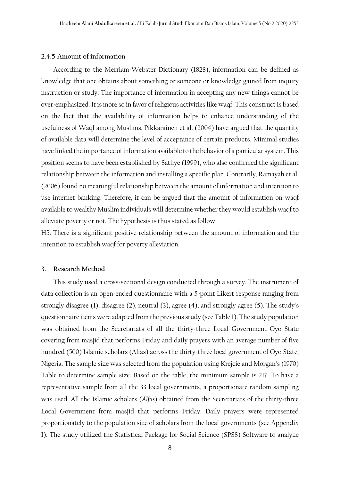## **2.4.5 Amount of information**

According to the Merriam-Webster Dictionary (1828), information can be defined as knowledge that one obtains about something or someone or knowledge gained from inquiry instruction or study. The importance of information in accepting any new things cannot be over-emphasized. It is more so in favor of religious activities like waqf. This construct is based on the fact that the availability of information helps to enhance understanding of the usefulness of Waqf among Muslims. Pikkarainen et al. (2004) have argued that the quantity of available data will determine the level of acceptance of certain products. Minimal studies have linked the importance of information available to the behavior of a particular system. This position seems to have been established by Sathye (1999), who also confirmed the significant relationship between the information and installing a specific plan. Contrarily, Ramayah et al. (2006) found no meaningful relationship between the amount of information and intention to use internet banking. Therefore, it can be argued that the amount of information on waqf available to wealthy Muslim individuals will determine whether they would establish waqf to alleviate poverty or not. The hypothesis is thus stated as follow:

H5: There is a significant positive relationship between the amount of information and the intention to establish waqf for poverty alleviation.

#### **3. Research Method**

This study used a cross-sectional design conducted through a survey. The instrument of data collection is an open-ended questionnaire with a 5-point Likert response ranging from strongly disagree (1), disagree (2), neutral (3), agree (4), and strongly agree (5). The study's questionnaire items were adapted from the previous study (see Table 1). The study population was obtained from the Secretariats of all the thirty-three Local Government Oyo State covering from masjid that performs Friday and daily prayers with an average number of five hundred (500) Islamic scholars (Alfas) across the thirty-three local government of Oyo State, Nigeria. The sample size was selected from the population using Krejcie and Morgan's (1970) Table to determine sample size. Based on the table, the minimum sample is 217. To have a representative sample from all the 33 local governments, a proportionate random sampling was used. All the Islamic scholars (*Alfas*) obtained from the Secretariats of the thirty-three Local Government from masjid that performs Friday. Daily prayers were represented proportionately to the population size of scholars from the local governments (see Appendix 1). The study utilized the Statistical Package for Social Science (SPSS) Software to analyze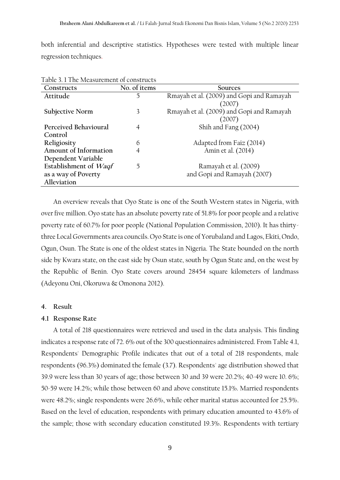both inferential and descriptive statistics. Hypotheses were tested with multiple linear regression techniques.

| Constructs            | No. of items | Sources                                   |
|-----------------------|--------------|-------------------------------------------|
| Attitude              | 5            | Rmayah et al. (2009) and Gopi and Ramayah |
|                       |              | (2007)                                    |
| Subjective Norm       | 3            | Rmayah et al. (2009) and Gopi and Ramayah |
|                       |              | (2007)                                    |
| Perceived Behavioural | 4            | Shih and Fang (2004)                      |
| Control               |              |                                           |
| Religiosity           | 6            | Adapted from Faiz (2014)                  |
| Amount of Information | 4            | Amin et al. (2014)                        |
| Dependent Variable    |              |                                           |
| Establishment of Waqf | 5            | Ramayah et al. (2009)                     |
| as a way of Poverty   |              | and Gopi and Ramayah (2007)               |
| Alleviation           |              |                                           |

Table 3. 1 The Measurement of constructs

An overview reveals that Oyo State is one of the South Western states in Nigeria, with over five million. Oyo state has an absolute poverty rate of 51.8% for poor people and a relative poverty rate of 60.7% for poor people (National Population Commission, 2010). It has thirtythree Local Governments area councils. Oyo State is one of Yorubaland and Lagos, Ekiti, Ondo, Ogun, Osun. The State is one of the oldest states in Nigeria. The State bounded on the north side by Kwara state, on the east side by Osun state, south by Ogun State and, on the west by the Republic of Benin. Oyo State covers around 28454 square kilometers of landmass (Adeyonu Oni, Okoruwa & Omonona 2012).

#### **4. Result**

#### **4.1 Response Rate**

A total of 218 questionnaires were retrieved and used in the data analysis. This finding indicates a response rate of 72. 6% out of the 300 questionnaires administered. From Table 4.1, Respondents' Demographic Profile indicates that out of a total of 218 respondents, male respondents (96.3%) dominated the female (3.7). Respondents' age distribution showed that 39.9 were less than 30 years of age; those between 30 and 39 were 20.2%; 40-49 were 10. 6%; 50-59 were 14.2%; while those between 60 and above constitute 15.1%. Married respondents were 48.2%; single respondents were 26.6%, while other marital status accounted for 25.5%. Based on the level of education, respondents with primary education amounted to 43.6% of the sample; those with secondary education constituted 19.3%. Respondents with tertiary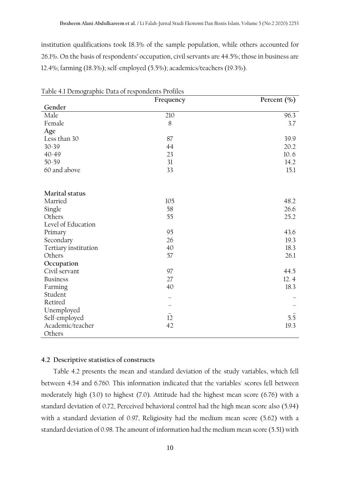institution qualifications took 18.3% of the sample population, while others accounted for 26.1%. On the basis of respondents' occupation, civil servants are 44.5%; those in business are 12.4%; farming (18.3%); self-employed (5.5%); academics/teachers (19.3%).

| radic +.1 Demographic Data of respondence i formes | Frequency | Percent $(\% )$ |
|----------------------------------------------------|-----------|-----------------|
| Gender                                             |           |                 |
| Male                                               | 210       | 96.3            |
| Female                                             | 8         | 3.7             |
| Age                                                |           |                 |
| Less than 30                                       | 87        | 39.9            |
| $30 - 39$                                          | 44        | 20.2            |
| $40 - 49$                                          | 23        | 10.6            |
| $50 - 59$                                          | 31        | 14.2            |
| 60 and above                                       | 33        | 15.1            |
|                                                    |           |                 |
| Marital status                                     |           |                 |
| Married                                            | 105       | 48.2            |
| Single                                             | 58        | 26.6            |
| Others                                             | 55        | 25.2            |
| Level of Education                                 |           |                 |
| Primary                                            | 95        | 43.6            |
| Secondary                                          | 26        | 19.3            |
| Tertiary institution                               | 40        | 18.3            |
| Others                                             | 57        | 26.1            |
| Occupation                                         |           |                 |
| Civil servant                                      | 97        | 44.5            |
| <b>Business</b>                                    | 27        | 12.4            |
| Farming                                            | 40        | 18.3            |
| Student                                            |           |                 |
| Retired                                            |           |                 |
| Unemployed                                         |           |                 |
| Self-employed                                      | 12        | 5.5             |
| Academic/teacher                                   | 42        | 19.3            |
| Others                                             |           |                 |

Table 4.1 Demographic Data of respondents Profiles

# **4.2 Descriptive statistics of constructs**

Table 4.2 presents the mean and standard deviation of the study variables, which fell between 4.54 and 6.760. This information indicated that the variables' scores fell between moderately high (3.0) to highest (7.0). Attitude had the highest mean score (6.76) with a standard deviation of 0.72, Perceived behavioral control had the high mean score also (5.94) with a standard deviation of 0.97, Religiosity had the medium mean score (5.62) with a standard deviation of 0.98. The amount of information had the medium mean score (5.51) with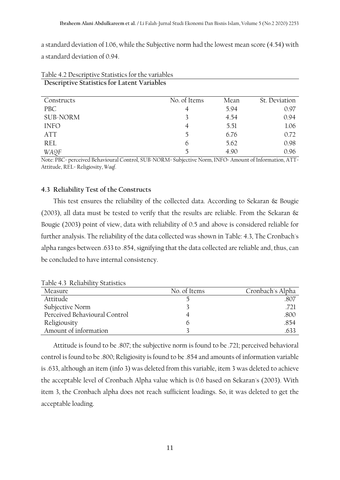a standard deviation of 1.06, while the Subjective norm had the lowest mean score (4.54) with a standard deviation of 0.94.

| Constructs      | No. of Items | Mean | St. Deviation |
|-----------------|--------------|------|---------------|
| PBC             | 4            | 5.94 | 0.97          |
| <b>SUB-NORM</b> |              | 4.54 | 0.94          |
| <b>INFO</b>     | 4            | 5.51 | 1.06          |
| <b>ATT</b>      | 5            | 6.76 | 0.72          |
| <b>REL</b>      | 6            | 5.62 | 0.98          |
| WA9F            |              | 4.90 | 0.96          |

Table 4.2 Descriptive Statistics for the variables **Descriptive Statistics for Latent Variables**

Note: PBC= perceived Behavioural Control, SUB-NORM= Subjective Norm, INFO= Amount of Information, ATT= Attitude, REL= Religiosity, *Waqf*.

# **4.3 Reliability Test of the Constructs**

This test ensures the reliability of the collected data. According to Sekaran & Bougie (2003), all data must be tested to verify that the results are reliable. From the Sekaran & Bougie (2003) point of view, data with reliability of 0.5 and above is considered reliable for further analysis. The reliability of the data collected was shown in Table: 4.3, The Cronbach's alpha ranges between .633 to .854, signifying that the data collected are reliable and, thus, can be concluded to have internal consistency.

Table 4.3 Reliability Statistics

| Measure                       | No. of Items | Cronbach's Alpha |
|-------------------------------|--------------|------------------|
| Attitude                      |              | .807             |
| Subjective Norm               |              | .721             |
| Perceived Behavioural Control |              | .800             |
| Religiousity                  |              | .854             |
| Amount of information         |              | 633              |

Attitude is found to be .807; the subjective norm is found to be .721; perceived behavioral control is found to be .800; Religiosity is found to be .854 and amounts of information variable is .633, although an item (info 3) was deleted from this variable, item 3 was deleted to achieve the acceptable level of Cronbach Alpha value which is 0.6 based on Sekaran's (2003). With item 3, the Cronbach alpha does not reach sufficient loadings. So, it was deleted to get the acceptable loading.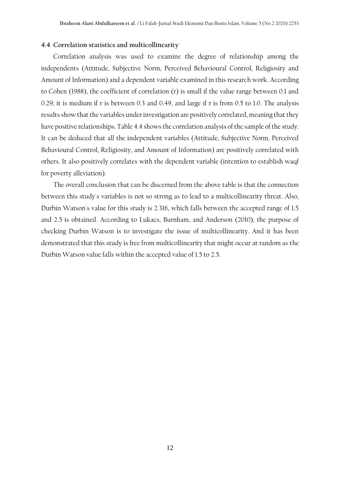## **4.4 Correlation statistics and multicollinearity**

Correlation analysis was used to examine the degree of relationship among the independents (Attitude, Subjective Norm, Perceived Behavioural Control, Religiosity and Amount of Information) and a dependent variable examined in this research work. According to Cohen (1988), the coefficient of correlation (r) is small if the value range between 0.1 and 0.29; it is medium if r is between 0.3 and 0.49, and large if r is from 0.5 to 1.0. The analysis results show that the variables under investigation are positively correlated, meaning that they have positive relationships. Table 4.4 shows the correlation analysis of the sample of the study. It can be deduced that all the independent variables (Attitude, Subjective Norm, Perceived Behavioural Control, Religiosity, and Amount of Information) are positively correlated with others. It also positively correlates with the dependent variable (intention to establish waqf for poverty alleviation).

The overall conclusion that can be discerned from the above table is that the connection between this study's variables is not so strong as to lead to a multicollinearity threat. Also, Durbin Watson's value for this study is 2.316, which falls between the accepted range of 1.5 and 2.5 is obtained. According to Lukacs, Burnham, and Anderson (2010), the purpose of checking Durbin Watson is to investigate the issue of multicollinearity. And it has been demonstrated that this study is free from multicollinearity that might occur at random as the Durbin Watson value falls within the accepted value of 1.5 to 2.5.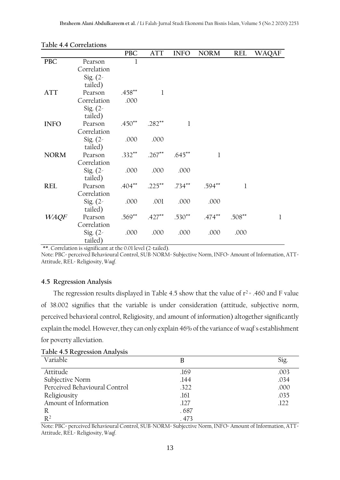|             |             | <b>PBC</b>   | ATT       | <b>INFO</b> | <b>NORM</b> | <b>REL</b>   | <b>WAQAF</b> |
|-------------|-------------|--------------|-----------|-------------|-------------|--------------|--------------|
| <b>PBC</b>  | Pearson     | $\mathbf{1}$ |           |             |             |              |              |
|             | Correlation |              |           |             |             |              |              |
|             | Sig. $(2 -$ |              |           |             |             |              |              |
|             | tailed)     |              |           |             |             |              |              |
| <b>ATT</b>  | Pearson     | $.458***$    | 1         |             |             |              |              |
|             | Correlation | .000         |           |             |             |              |              |
|             | Sig. $(2 -$ |              |           |             |             |              |              |
|             | tailed)     |              |           |             |             |              |              |
| <b>INFO</b> | Pearson     | $.450**$     | $.282**$  |             |             |              |              |
|             | Correlation |              |           |             |             |              |              |
|             | Sig. $(2 -$ | .000         | .000      |             |             |              |              |
|             | tailed)     |              |           |             |             |              |              |
| <b>NORM</b> | Pearson     | $.332**$     | $.267***$ | $.645**$    | 1           |              |              |
|             | Correlation |              |           |             |             |              |              |
|             | Sig. $(2 -$ | .000         | .000      | .000        |             |              |              |
|             | tailed)     |              |           |             |             |              |              |
| <b>REL</b>  | Pearson     | $.404***$    | $.225***$ | $.734***$   | $.594***$   | $\mathbf{1}$ |              |
|             | Correlation |              |           |             |             |              |              |
|             | Sig. $(2 -$ | .000         | .001      | .000        | .000        |              |              |
|             | tailed)     |              |           |             |             |              |              |
| <b>WAQF</b> | Pearson     | $.569**$     | $.427***$ | $.530**$    | $.474***$   | $.508***$    | $\bf{l}$     |
|             | Correlation |              |           |             |             |              |              |
|             | Sig. $(2 -$ | .000         | .000      | .000        | .000        | .000         |              |
|             | tailed)     |              |           |             |             |              |              |

\*\*. Correlation is significant at the 0.01 level (2-tailed).

Note: PBC= perceived Behavioural Control, SUB-NORM= Subjective Norm, INFO= Amount of Information, ATT= Attitude, REL= Religiosity, *Waqf*.

# **4.5 Regression Analysis**

The regression results displayed in Table 4.5 show that the value of  $r^2$  = .460 and F value of 38.002 signifies that the variable is under consideration (attitude, subjective norm, perceived behavioral control, Religiosity, and amount of information) altogether significantly explain the model. However, they can only explain 46% of the variance of waqf's establishment for poverty alleviation.

| $14010$ $10$ $100$ $100$<br>Variable | В     | Sig. |
|--------------------------------------|-------|------|
| Attitude                             | .169  | .003 |
| Subjective Norm                      | .144  | .034 |
| Perceived Behavioural Control        | .322  | .000 |
| Religiousity                         | .161  | .035 |
| Amount of Information                | .127  | .122 |
| R                                    | .687  |      |
| R <sup>2</sup>                       | . 473 |      |

**Table 4.5 Regression Analysis**

Note: PBC= perceived Behavioural Control, SUB-NORM= Subjective Norm, INFO= Amount of Information, ATT= Attitude, REL= Religiosity, *Waqf*.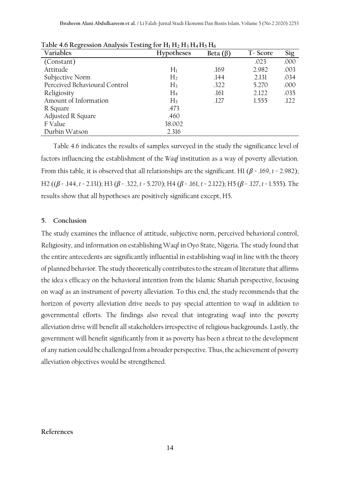| ີ<br>Variables                | ີ<br><b>Hypotheses</b> | Beta $(\beta)$ | T-Score | Sig  |
|-------------------------------|------------------------|----------------|---------|------|
| (Constant)                    |                        |                | .023    | .000 |
| Attitude                      | $H_1$                  | .169           | 2.982   | .003 |
| Subjective Norm               | H <sub>2</sub>         | .144           | 2.131   | .034 |
| Perceived Behavioural Control | $H_3$                  | .322           | 5.270   | .000 |
| Religiosity                   | $H_4$                  | .161           | 2.122   | .035 |
| Amount of Information         | H <sub>5</sub>         | .127           | 1.555   | .122 |
| R Square                      | .473                   |                |         |      |
| Adjusted R Square             | .460                   |                |         |      |
| F Value                       | 38.002                 |                |         |      |
| Durbin Watson                 | 2.316                  |                |         |      |

**Table 4.6 Regression Analysis Testing for H<sup>1</sup> H<sup>2</sup> H<sup>3</sup> H4 H<sup>5</sup> H<sup>6</sup>**

Table 4.6 indicates the results of samples surveyed in the study the significance level of factors influencing the establishment of the *Waqf* institution as a way of poverty alleviation. From this table, it is observed that all relationships are the significant. H1 (*β* = .169, *t* = 2.982); H2 ((*β* = .144, *t* = 2.131); H3 (*β* = .322, *t* = 5.270); H4 (*β* = .161, *t* = 2.122); H5 (*β* = .127, *t* = 1.555). The results show that all hypotheses are positively significant except, H5.

### **5. Conclusion**

The study examines the influence of attitude, subjective norm, perceived behavioral control, Religiosity, and information on establishing Waqf in Oyo State, Nigeria. The study found that the entire antecedents are significantly influential in establishing waqf in line with the theory of planned behavior. The study theoretically contributes to the stream of literature that affirms the idea's efficacy on the behavioral intention from the Islamic Shariah perspective, focusing on waqf as an instrument of poverty alleviation. To this end, the study recommends that the horizon of poverty alleviation drive needs to pay special attention to waqf in addition to governmental efforts. The findings also reveal that integrating waqf into the poverty alleviation drive will benefit all stakeholders irrespective of religious backgrounds. Lastly, the government will benefit significantly from it as poverty has been a threat to the development of any nation could be challenged from a broader perspective. Thus, the achievement of poverty alleviation objectives would be strengthened.

**References**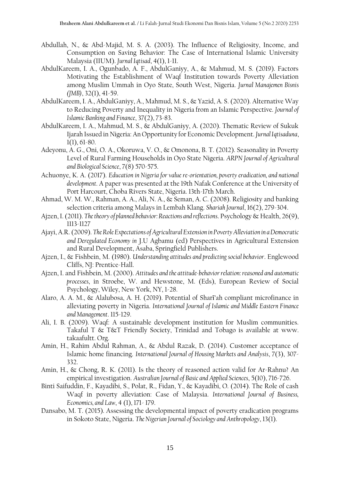- Abdullah, N., & Abd-Majid, M. S. A. (2003). The Influence of Religiosity, Income, and Consumption on Saving Behavior: The Case of International Islamic University Malaysia (IIUM). *Jurnal Iqtisad*, 4(1), 1-11.
- AbdulKareem, I. A., Ogunbado, A. F., AbdulGaniyy, A., & Mahmud, M. S. (2019). Factors Motivating the Establishment of Waqf Institution towards Poverty Alleviation among Muslim Ummah in Oyo State, South West, Nigeria. *Jurnal Manajemen Bisnis (JMB)*, 32(1), 41-59.
- AbdulKareem, I. A., AbdulGaniyy, A., Mahmud, M. S., & Yazid, A. S. (2020). Alternative Way to Reducing Poverty and Inequality in Nigeria from an Islamic Perspective. *Journal of Islamic Banking and Finance*, 37(2), 73-83.
- AbdulKareem, I. A., Mahmud, M. S., & AbdulGaniyy, A. (2020). Thematic Review of Sukuk Ijarah Issued in Nigeria: An Opportunity for Economic Development. *Jurnal Iqtisaduna*, 1(1), 61-80.
- Adeyonu, A. G., Oni, O. A., Okoruwa, V. O., & Omonona, B. T. (2012). Seasonality in Poverty Level of Rural Farming Households in Oyo State Nigeria. *ARPN Journal of Agricultural and Biological Science*, 7(8) 570-575.
- Achuonye, K. A. (2017). *Education in Nigeria for value re-orientation, poverty eradication, and national development*. A paper was presented at the 19th Nafak Conference at the University of Port Harcourt, Choba Rivers State, Nigeria. 13th-17th March.
- Ahmad, W. M. W., Rahman, A. A., Ali, N. A., & Seman, A. C. (2008). Religiosity and banking selection criteria among Malays in Lembah Klang. *Shariah Journal*, 16(2), 279-304.
- Ajzen, I. (2011). *The theory of planned behavior: Reactions and reflections*. Psychology & Health, 26(9), 1113-1127
- Ajayi, A.R. (2009). *The Role Expectations of Agricultural Extension in Poverty Alleviation in a Democratic and Deregulated Economy in* J.U Agbamu (ed) Perspectives in Agricultural Extension and Rural Development, Asaba, Springfield Publishers.
- Ajzen, I., & Fishbein, M. (1980). *Understanding attitudes and predicting social behavior*. Englewood Cliffs, NJ: Prentice-Hall.
- Ajzen, I. and Fishbein, M. (2000). *Attitudes and the attitude-behavior relation: reasoned and automatic processes*, in Stroebe, W. and Hewstone, M. (Eds), European Review of Social Psychology, Wiley, New York, NY, 1-28.
- Alaro, A. A. M., & Alalubosa, A. H. (2019). Potential of Sharī'ah compliant microfinance in alleviating poverty in Nigeria. *International Journal of Islamic and Middle Eastern Finance and Management*. 115-129.
- Ali, I. B. (2009). Waqf: A sustainable development institution for Muslim communities. Takaful T & T&T Friendly Society, Trinidad and Tobago is available at www. takaafultt. Org.
- Amin, H., Rahim Abdul Rahman, A., & Abdul Razak, D. (2014). Customer acceptance of Islamic home financing. *International Journal of Housing Markets and Analysis*, 7(3), 307- 332.
- Amin, H., & Chong, R. K. (2011). Is the theory of reasoned action valid for Ar-Rahnu? An empirical investigation. *Australian Journal of Basic and Applied Sciences*, 5(10), 716-726.
- Binti Saifuddin, F., Kayadibi, S., Polat, R., Fidan, Y., & Kayadibi, O. (2014). The Role of cash Waqf in poverty alleviation: Case of Malaysia. *International Journal of Business, Economics, and Law*, 4 (1), 171- 179.
- Dansabo, M. T. (2015). Assessing the developmental impact of poverty eradication programs in Sokoto State, Nigeria. *The Nigerian Journal of Sociology and Anthropology*, 13(1).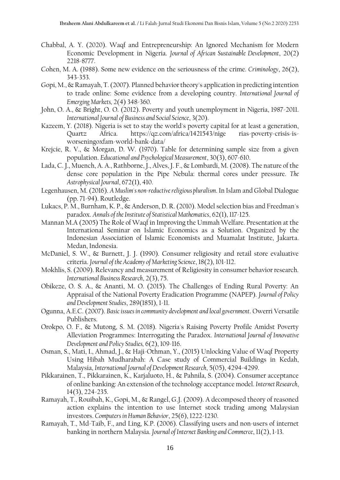- Chabbal, A. Y. (2020). Waqf and Entrepreneurship: An Ignored Mechanism for Modern Economic Development in Nigeria. *Journal of African Sustainable Development*, 20(2) 2218-8777.
- Cohen, M. A. (1988). Some new evidence on the seriousness of the crime. *Criminology*, 26(2), 343-353.
- Gopi, M., & Ramayah, T. (2007). Planned behavior theory's application in predicting intention to trade online: Some evidence from a developing country. *International Journal of Emerging Markets,* 2(4) 348-360.
- John, O. A., & Bright, O. O. (2012). Poverty and youth unemployment in Nigeria, 1987-2011. *International Journal of Business and Social Science*, 3(20).
- Kazeem, Y. (2018). Nigeria is set to stay the world's poverty capital for at least a generation, Quartz Africa. https://qz.com/africa/1421543/nige rias-poverty-crisis-isworseningoxfam-world-bank-data/
- Krejcie, R. V., & Morgan, D. W. (1970). Table for determining sample size from a given population. *Educational and Psychological Measurement*, 30(3), 607-610.
- Lada, C. J., Muench, A. A., Rathborne, J., Alves, J. F., & Lombardi, M. (2008). The nature of the dense core population in the Pipe Nebula: thermal cores under pressure. *The Astrophysical Journal*, 672(1), 410.
- Legenhausen, M. (2016). *A Muslim's non-reductive religious pluralism*. In Islam and Global Dialogue (pp. 71-94). Routledge.
- Lukacs, P. M., Burnham, K. P., & Anderson, D. R. (2010). Model selection bias and Freedman's paradox. *Annals of the Institute of Statistical Mathematics*, 62(1), 117-125.
- Mannan M.A (2005) The Role of Waqf in Improving the Ummah Welfare. Presentation at the International Seminar on Islamic Economics as a Solution. Organized by the Indonesian Association of Islamic Economists and Muamalat Institute, Jakarta. Medan, Indonesia.
- McDaniel, S. W., & Burnett, J. J. (1990). Consumer religiosity and retail store evaluative criteria. *Journal of the Academy of Marketing Science*, 18(2), 101-112.
- Mokhlis, S. (2009). Relevancy and measurement of Religiosity in consumer behavior research. *International Business Research*, 2(3), 75.
- Obikeze, O. S. A., & Ananti, M. O. (2015). The Challenges of Ending Rural Poverty: An Appraisal of the National Poverty Eradication Programme (NAPEP). *Journal of Policy and Development Studies*, 289(1851), 1-11.
- Ogunna, A.E.C. (2007). *Basic issues in community development and local government*. Owerri Versatile Publishers.
- Orokpo, O. F., & Mutong, S. M. (2018). Nigeria's Raising Poverty Profile Amidst Poverty Alleviation Programmes: Interrogating the Paradox. *International Journal of Innovative Development and Policy Studies,* 6(2), 109-116.
- Osman, S., Mati, I., Ahmad, J., & Haji-Othman, Y., (2015) Unlocking Value of Waqf Property Using Hibah Mudharabah: A Case study of Commercial Buildings in Kedah, Malaysia, *International Journal of Development Research*, 5(05), 4294-4299.
- Pikkarainen, T., Pikkarainen, K., Karjaluoto, H., & Pahnila, S. (2004). Consumer acceptance of online banking: An extension of the technology acceptance model. *Internet Research*, 14(3), 224-235.
- Ramayah, T., Rouibah, K., Gopi, M., & Rangel, G.J. (2009). A decomposed theory of reasoned action explains the intention to use Internet stock trading among Malaysian investors. *Computers in Human Behavior*, 25(6), 1222-1230.
- Ramayah, T., Md-Taib, F., and Ling, K.P. (2006). Classifying users and non-users of internet banking in northern Malaysia. *Journal of Internet Banking and Commerce*, 11(2), 1-13.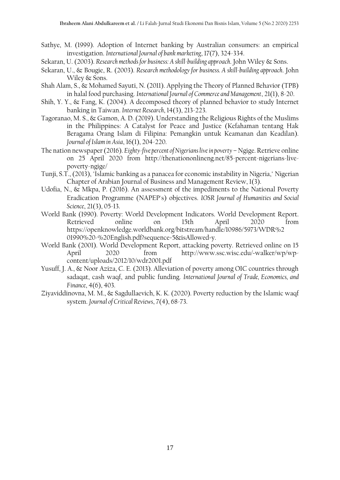- Sathye, M. (1999). Adoption of Internet banking by Australian consumers: an empirical investigation. *International Journal of bank marketing*, 17(7), 324-334.
- Sekaran, U. (2003). *Research methods for business: A skill-building approach*. John Wiley & Sons.
- Sekaran, U., & Bougie, R. (2003). *Research methodology for business. A skill-building approach*. John Wiley & Sons.
- Shah Alam, S., & Mohamed Sayuti, N. (2011). Applying the Theory of Planned Behavior (TPB) in halal food purchasing. *International Journal of Commerce and Management*, 21(1), 8-20.
- Shih, Y. Y., & Fang, K. (2004). A decomposed theory of planned behavior to study Internet banking in Taiwan. *Internet Research*, 14(3), 213-223.
- Tagoranao, M. S., & Gamon, A. D. (2019). Understanding the Religious Rights of the Muslims in the Philippines: A Catalyst for Peace and Justice (Kefahaman tentang Hak Beragama Orang Islam di Filipina: Pemangkin untuk Keamanan dan Keadilan). *Journal of Islam in Asia*, 16(1), 204-220.
- The nation newspaper (2016). *Eighty-five percent of Nigerians live in poverty* Ngige. Retrieve online on 25 April 2020 from http://thenationonlineng.net/85-percent-nigerians-livepoverty-ngige/
- Tunji, S.T., (2013), "Islamic banking as a panacea for economic instability in Nigeria," Nigerian Chapter of Arabian Journal of Business and Management Review, 1(3).
- Udofia, N., & Mkpa, P. (2016). An assessment of the impediments to the National Poverty Eradication Programme (NAPEP's) objectives. *IOSR Journal of Humanities and Social Science*, 21(3), 05-13.
- World Bank (1990). Poverty: World Development Indicators. World Development Report. Retrieved online on 15th April 2020 from https://openknowledge.worldbank.org/bitstream/handle/10986/5973/WDR%2 01990%20-%20English.pdf?sequence=5&isAllowed=y.
- World Bank (2001). World Development Report, attacking poverty. Retrieved online on 15 April 2020 from http://www.ssc.wisc.edu/~walker/wp/wpcontent/uploads/2012/10/wdr2001.pdf
- Yusuff, J. A., & Noor Aziza, C. E. (2013). Alleviation of poverty among OIC countries through sadaqat, cash waqf, and public funding. *International Journal of Trade, Economics, and Finance*, 4(6), 403.
- Ziyaviddinovna, M. M., & Sagdullaevich, K. K. (2020). Poverty reduction by the Islamic waqf system. *Journal of Critical Reviews*, 7(4), 68-73.